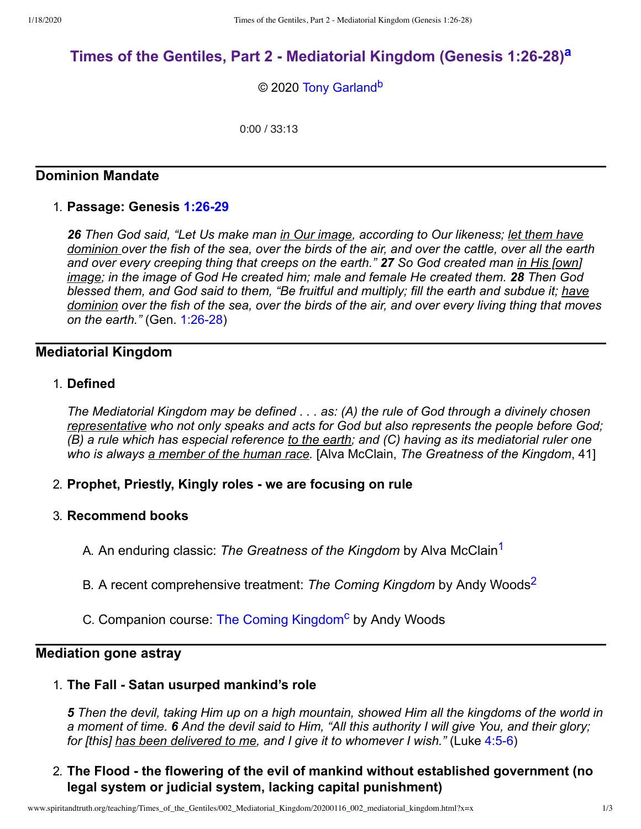# **Times of the Gentiles, Part 2 - [Mediatorial](http://www.spiritandtruth.org/teaching/Times_of_the_Gentiles/002_Mediatorial_Kingdom/index.htm) Kingdom (Genesis 1:26-28) [a](#page-2-0)**

<span id="page-0-3"></span><span id="page-0-2"></span>© 2020 [Tony Garland](http://www.spiritandtruth.org/id/tg.htm)<sup>[b](#page-2-1)</sup>

0:00 / 33:13

## **Dominion Mandate**

### 1. **Passage: Genesis [1:26-29](http://www.spiritandtruth.org/bibles/nasb/b01c001.htm#Gen._C1V26)**

*26 Then God said, "Let Us make man in Our image, according to Our likeness; let them have dominion over the fish of the sea, over the birds of the air, and over the cattle, over all the earth and over every creeping thing that creeps on the earth." 27 So God created man in His [own] image; in the image of God He created him; male and female He created them.* 28 Then God *blessed them, and God said to them, "Be fruitful and multiply; fill the earth and subdue it; have dominion over the fish of the sea, over the birds of the air, and over every living thing that moves on the earth."* (Gen. [1:26-28\)](http://www.spiritandtruth.org/bibles/nasb/b01c001.htm#Gen._C1V26)

## **Mediatorial Kingdom**

### 1. **Defined**

*The Mediatorial Kingdom may be defined . . . as: (A) the rule of God through a divinely chosen representative who not only speaks and acts for God but also represents the people before God; (B) a rule which has especial reference to the earth; and (C) having as its mediatorial ruler one who is always a member of the human race.* [Alva McClain, *The Greatness of the Kingdom*, 41]

- 2. **Prophet, Priestly, Kingly roles - we are focusing on rule**
- <span id="page-0-1"></span><span id="page-0-0"></span>3. **Recommend books**
	- A. An enduring classic: *The Greatness of the Kingdom* by Alva McClain [1](#page-2-2)
	- B. A recent comprehensive treatment: *The Coming Kingdom* by Andy Woods [2](#page-2-3)
	- C. Companion course: The Coming [Kingdom](http://www.spiritandtruth.org/teaching/52.htm)<sup>[c](#page-2-4)</sup> by Andy Woods

### **Mediation gone astray**

#### 1. **The Fall - Satan usurped mankind's role**

<span id="page-0-4"></span>*5 Then the devil, taking Him up on a high mountain, showed Him all the kingdoms of the world in a moment of time. 6 And the devil said to Him, "All this authority I will give You, and their glory; for [this] has been delivered to me, and I give it to whomever I wish."* (Luke [4:5-6](http://www.spiritandtruth.org/bibles/nasb/b42c004.htm#Luke_C4V5))

# 2. **The Flood - the flowering of the evil of mankind without established government (no legal system or judicial system, lacking capital punishment)**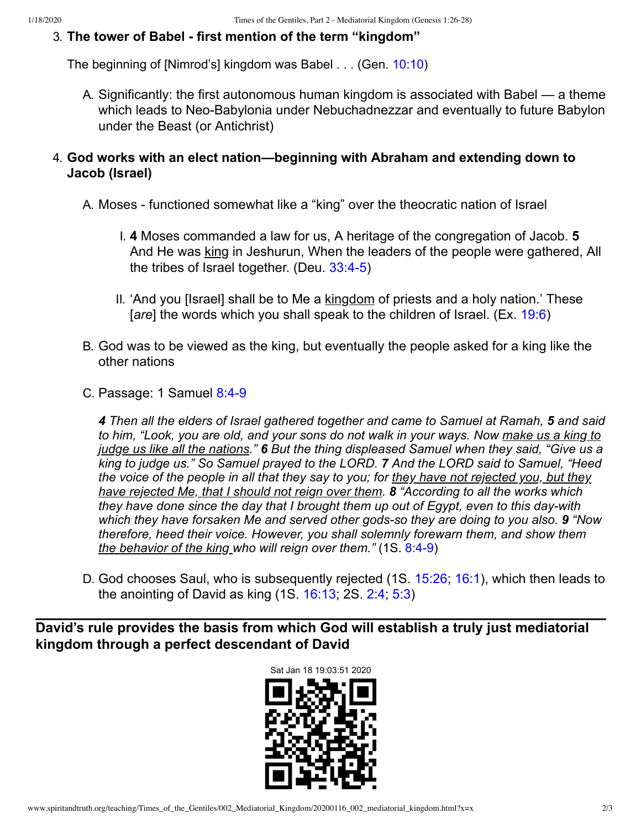# 3. **The tower of Babel - first mention of the term "kingdom"**

The beginning of [Nimrod's] kingdom was Babel . . . (Gen. [10:10\)](http://www.spiritandtruth.org/bibles/nasb/b01c010.htm#Gen._C10V10)

A. Significantly: the first autonomous human kingdom is associated with Babel — a theme which leads to Neo-Babylonia under Nebuchadnezzar and eventually to future Babylon under the Beast (or Antichrist)

# 4. **God works with an elect nation—beginning with Abraham and extending down to Jacob (Israel)**

- A. Moses functioned somewhat like a "king" over the theocratic nation of Israel
	- I. **4** Moses commanded a law for us, A heritage of the congregation of Jacob. **5** And He was king in Jeshurun, When the leaders of the people were gathered, All the tribes of Israel together. (Deu. [33:4-5](http://www.spiritandtruth.org/bibles/nasb/b05c033.htm#Deu._C33V4))
	- II. 'And you [Israel] shall be to Me a kingdom of priests and a holy nation.' These [*are*] the words which you shall speak to the children of Israel. (Ex. [19:6\)](http://www.spiritandtruth.org/bibles/nasb/b02c019.htm#Ex._C19V6)
- B. God was to be viewed as the king, but eventually the people asked for a king like the other nations
- C. Passage: 1 Samuel [8:4-9](http://www.spiritandtruth.org/bibles/nasb/b09c008.htm#1S._C8V4)

*4 Then all the elders of Israel gathered together and came to Samuel at Ramah, 5 and said to him, "Look, you are old, and your sons do not walk in your ways. Now make us a king to judge us like all the nations." 6 But the thing displeased Samuel when they said, "Give us a king to judge us." So Samuel prayed to the LORD. 7 And the LORD said to Samuel, "Heed the voice of the people in all that they say to you; for they have not rejected you, but they have rejected Me, that I should not reign over them. 8 "According to all the works which they have done since the day that I brought them up out of Egypt, even to this day-with which they have forsaken Me and served other gods-so they are doing to you also. 9 "Now therefore, heed their voice. However, you shall solemnly forewarn them, and show them the behavior of the king who will reign over them."* (1S. [8:4-9\)](http://www.spiritandtruth.org/bibles/nasb/b09c008.htm#1S._C8V4)

D. God chooses Saul, who is subsequently rejected (1S. [15:26](http://www.spiritandtruth.org/bibles/nasb/b09c015.htm#1S._C15V26); [16:1](http://www.spiritandtruth.org/bibles/nasb/b09c016.htm#1S._C16V1)), which then leads to the anointing of David as king (1S. [16:13](http://www.spiritandtruth.org/bibles/nasb/b09c016.htm#1S._C16V13); 2S. [2:4;](http://www.spiritandtruth.org/bibles/nasb/b10c002.htm#2S._C2V4) [5:3\)](http://www.spiritandtruth.org/bibles/nasb/b10c005.htm#2S._C5V3)

**David's rule provides the basis from which God will establish a truly just mediatorial kingdom through a perfect descendant of David**